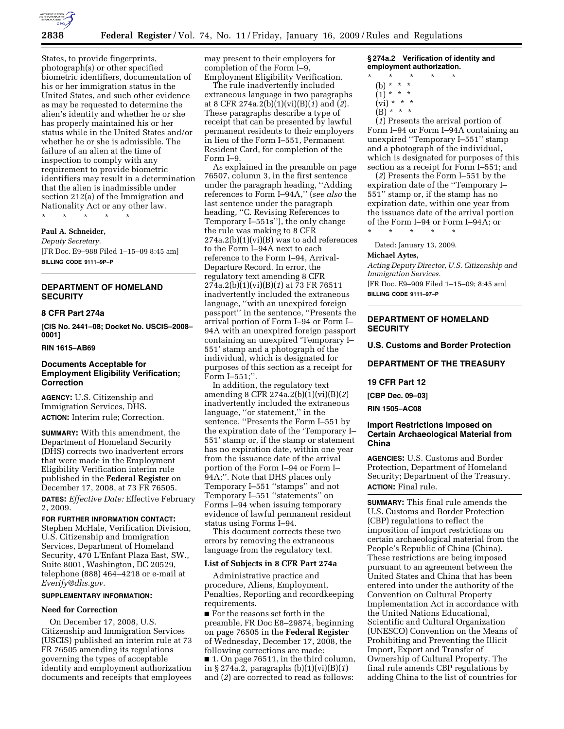

States, to provide fingerprints, photograph(s) or other specified biometric identifiers, documentation of his or her immigration status in the United States, and such other evidence as may be requested to determine the alien's identity and whether he or she has properly maintained his or her status while in the United States and/or whether he or she is admissible. The failure of an alien at the time of inspection to comply with any requirement to provide biometric identifiers may result in a determination that the alien is inadmissible under section 212(a) of the Immigration and Nationality Act or any other law.

\* \* \* \* \*

#### **Paul A. Schneider,**

*Deputy Secretary.*  [FR Doc. E9–988 Filed 1–15–09 8:45 am] **BILLING CODE 9111–9P–P** 

# **DEPARTMENT OF HOMELAND SECURITY**

# **8 CFR Part 274a**

**[CIS No. 2441–08; Docket No. USCIS–2008– 0001]** 

# **RIN 1615–AB69**

# **Documents Acceptable for Employment Eligibility Verification; Correction**

**AGENCY:** U.S. Citizenship and Immigration Services, DHS. **ACTION:** Interim rule; Correction.

**SUMMARY:** With this amendment, the Department of Homeland Security (DHS) corrects two inadvertent errors that were made in the Employment Eligibility Verification interim rule published in the **Federal Register** on December 17, 2008, at 73 FR 76505.

**DATES:** *Effective Date:* Effective February 2, 2009.

### **FOR FURTHER INFORMATION CONTACT:**

Stephen McHale, Verification Division, U.S. Citizenship and Immigration Services, Department of Homeland Security, 470 L'Enfant Plaza East, SW., Suite 8001, Washington, DC 20529, telephone (888) 464–4218 or e-mail at *Everify@dhs.gov*.

#### **SUPPLEMENTARY INFORMATION:**

### **Need for Correction**

On December 17, 2008, U.S. Citizenship and Immigration Services (USCIS) published an interim rule at 73 FR 76505 amending its regulations governing the types of acceptable identity and employment authorization documents and receipts that employees

may present to their employers for completion of the Form I–9, Employment Eligibility Verification.

The rule inadvertently included extraneous language in two paragraphs at 8 CFR 274a.2(b)(1)(vi)(B)(*1*) and (*2*). These paragraphs describe a type of receipt that can be presented by lawful permanent residents to their employers in lieu of the Form I–551, Permanent Resident Card, for completion of the Form I–9.

As explained in the preamble on page 76507, column 3, in the first sentence under the paragraph heading, ''Adding references to Form I–94A,'' (*see also* the last sentence under the paragraph heading, ''C. Revising References to Temporary I–551s''), the only change the rule was making to 8 CFR  $274a.2(b)(1)(vi)(B)$  was to add references to the Form I–94A next to each reference to the Form I–94, Arrival-Departure Record. In error, the regulatory text amending 8 CFR 274a.2(b)(1)(vi)(B)(*1*) at 73 FR 76511 inadvertently included the extraneous language, ''with an unexpired foreign passport'' in the sentence, ''Presents the arrival portion of Form I–94 or Form I– 94A with an unexpired foreign passport containing an unexpired 'Temporary I– 551' stamp and a photograph of the individual, which is designated for purposes of this section as a receipt for Form I–551;''.

In addition, the regulatory text amending 8 CFR 274a.2(b)(1)(vi)(B)(*2*) inadvertently included the extraneous language, ''or statement,'' in the sentence, ''Presents the Form I–551 by the expiration date of the 'Temporary I– 551' stamp or, if the stamp or statement has no expiration date, within one year from the issuance date of the arrival portion of the Form I–94 or Form I– 94A;''. Note that DHS places only Temporary I–551 ''stamps'' and not Temporary I–551 ''statements'' on Forms I–94 when issuing temporary evidence of lawful permanent resident status using Forms I–94.

This document corrects these two errors by removing the extraneous language from the regulatory text.

### **List of Subjects in 8 CFR Part 274a**

Administrative practice and procedure, Aliens, Employment, Penalties, Reporting and recordkeeping requirements.

■ For the reasons set forth in the preamble, FR Doc E8–29874, beginning on page 76505 in the **Federal Register**  of Wednesday, December 17, 2008, the following corrections are made: ■ 1. On page 76511, in the third column, in § 274a.2, paragraphs (b)(1)(vi)(B)(*1*) and (*2*) are corrected to read as follows:

**§ 274a.2 Verification of identity and employment authorization.** 

- \* \* \* \* \*
	- (b) \* \* \*  $(1)^{\ast}$  \* \*
	- $(v_i) * * * *$
	- $(B) * * * *$

(*1*) Presents the arrival portion of Form I–94 or Form I–94A containing an unexpired ''Temporary I–551'' stamp and a photograph of the individual, which is designated for purposes of this section as a receipt for Form I–551; and

(*2*) Presents the Form I–551 by the expiration date of the ''Temporary I– 551'' stamp or, if the stamp has no expiration date, within one year from the issuance date of the arrival portion of the Form I–94 or Form I–94A; or

\* \* \* \* \* Dated: January 13, 2009.

#### **Michael Aytes,**

*Acting Deputy Director, U.S. Citizenship and Immigration Services.* 

[FR Doc. E9–909 Filed 1–15–09; 8:45 am] **BILLING CODE 9111–97–P** 

# **DEPARTMENT OF HOMELAND SECURITY**

**U.S. Customs and Border Protection** 

## **DEPARTMENT OF THE TREASURY**

### **19 CFR Part 12**

**[CBP Dec. 09–03]** 

**RIN 1505–AC08** 

# **Import Restrictions Imposed on Certain Archaeological Material from China**

**AGENCIES:** U.S. Customs and Border Protection, Department of Homeland Security; Department of the Treasury. **ACTION:** Final rule.

**SUMMARY:** This final rule amends the U.S. Customs and Border Protection (CBP) regulations to reflect the imposition of import restrictions on certain archaeological material from the People's Republic of China (China). These restrictions are being imposed pursuant to an agreement between the United States and China that has been entered into under the authority of the Convention on Cultural Property Implementation Act in accordance with the United Nations Educational, Scientific and Cultural Organization (UNESCO) Convention on the Means of Prohibiting and Preventing the Illicit Import, Export and Transfer of Ownership of Cultural Property. The final rule amends CBP regulations by adding China to the list of countries for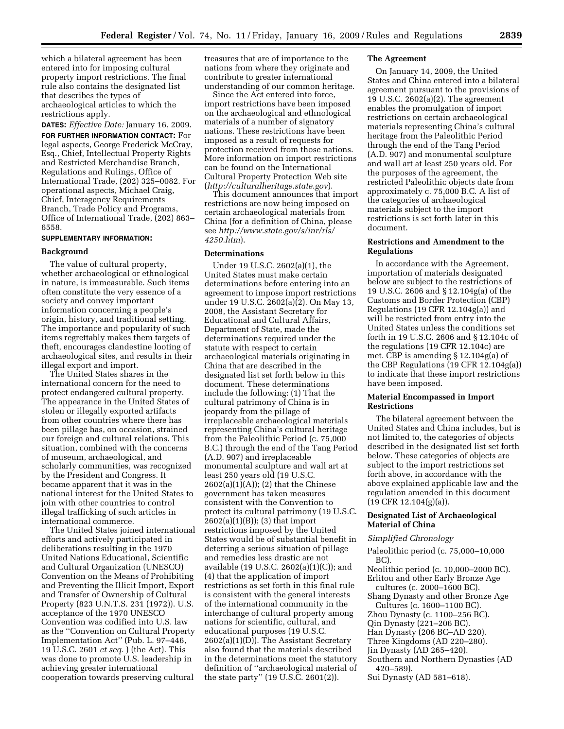which a bilateral agreement has been entered into for imposing cultural property import restrictions. The final rule also contains the designated list that describes the types of archaeological articles to which the restrictions apply.

**DATES:** *Effective Date:* January 16, 2009. **FOR FURTHER INFORMATION CONTACT:** For legal aspects, George Frederick McCray, Esq., Chief, Intellectual Property Rights and Restricted Merchandise Branch, Regulations and Rulings, Office of International Trade, (202) 325–0082. For operational aspects, Michael Craig, Chief, Interagency Requirements Branch, Trade Policy and Programs, Office of International Trade, (202) 863– 6558.

# **SUPPLEMENTARY INFORMATION:**

# **Background**

The value of cultural property, whether archaeological or ethnological in nature, is immeasurable. Such items often constitute the very essence of a society and convey important information concerning a people's origin, history, and traditional setting. The importance and popularity of such items regrettably makes them targets of theft, encourages clandestine looting of archaeological sites, and results in their illegal export and import.

The United States shares in the international concern for the need to protect endangered cultural property. The appearance in the United States of stolen or illegally exported artifacts from other countries where there has been pillage has, on occasion, strained our foreign and cultural relations. This situation, combined with the concerns of museum, archaeological, and scholarly communities, was recognized by the President and Congress. It became apparent that it was in the national interest for the United States to join with other countries to control illegal trafficking of such articles in international commerce.

The United States joined international efforts and actively participated in deliberations resulting in the 1970 United Nations Educational, Scientific and Cultural Organization (UNESCO) Convention on the Means of Prohibiting and Preventing the Illicit Import, Export and Transfer of Ownership of Cultural Property (823 U.N.T.S. 231 (1972)). U.S. acceptance of the 1970 UNESCO Convention was codified into U.S. law as the ''Convention on Cultural Property Implementation Act'' (Pub. L. 97–446, 19 U.S.C. 2601 *et seq.* ) (the Act). This was done to promote U.S. leadership in achieving greater international cooperation towards preserving cultural

treasures that are of importance to the nations from where they originate and contribute to greater international understanding of our common heritage.

Since the Act entered into force, import restrictions have been imposed on the archaeological and ethnological materials of a number of signatory nations. These restrictions have been imposed as a result of requests for protection received from those nations. More information on import restrictions can be found on the International Cultural Property Protection Web site (*http://culturalheritage.state.gov*).

This document announces that import restrictions are now being imposed on certain archaeological materials from China (for a definition of China, please see *http://www.state.gov/s/inr/rls/ 4250.htm*).

# **Determinations**

Under 19 U.S.C. 2602(a)(1), the United States must make certain determinations before entering into an agreement to impose import restrictions under 19 U.S.C. 2602(a)(2). On May 13, 2008, the Assistant Secretary for Educational and Cultural Affairs, Department of State, made the determinations required under the statute with respect to certain archaeological materials originating in China that are described in the designated list set forth below in this document. These determinations include the following: (1) That the cultural patrimony of China is in jeopardy from the pillage of irreplaceable archaeological materials representing China's cultural heritage from the Paleolithic Period (c. 75,000 B.C.) through the end of the Tang Period (A.D. 907) and irreplaceable monumental sculpture and wall art at least 250 years old (19 U.S.C.  $2602(a)(1)(A)$ ; (2) that the Chinese government has taken measures consistent with the Convention to protect its cultural patrimony (19 U.S.C. 2602(a)(1)(B)); (3) that import restrictions imposed by the United States would be of substantial benefit in deterring a serious situation of pillage and remedies less drastic are not available (19 U.S.C. 2602(a)(1)(C)); and (4) that the application of import restrictions as set forth in this final rule is consistent with the general interests of the international community in the interchange of cultural property among nations for scientific, cultural, and educational purposes (19 U.S.C. 2602(a)(1)(D)). The Assistant Secretary also found that the materials described in the determinations meet the statutory definition of ''archaeological material of the state party'' (19 U.S.C. 2601(2)).

# **The Agreement**

On January 14, 2009, the United States and China entered into a bilateral agreement pursuant to the provisions of 19 U.S.C. 2602(a)(2). The agreement enables the promulgation of import restrictions on certain archaeological materials representing China's cultural heritage from the Paleolithic Period through the end of the Tang Period (A.D. 907) and monumental sculpture and wall art at least 250 years old. For the purposes of the agreement, the restricted Paleolithic objects date from approximately c. 75,000 B.C. A list of the categories of archaeological materials subject to the import restrictions is set forth later in this document.

# **Restrictions and Amendment to the Regulations**

In accordance with the Agreement, importation of materials designated below are subject to the restrictions of 19 U.S.C. 2606 and § 12.104g(a) of the Customs and Border Protection (CBP) Regulations (19 CFR 12.104g(a)) and will be restricted from entry into the United States unless the conditions set forth in 19 U.S.C. 2606 and § 12.104c of the regulations (19 CFR 12.104c) are met. CBP is amending § 12.104g(a) of the CBP Regulations (19 CFR 12.104g(a)) to indicate that these import restrictions have been imposed.

# **Material Encompassed in Import Restrictions**

The bilateral agreement between the United States and China includes, but is not limited to, the categories of objects described in the designated list set forth below. These categories of objects are subject to the import restrictions set forth above, in accordance with the above explained applicable law and the regulation amended in this document  $(19$  CFR 12.104 $(g)(a)$ ).

# **Designated List of Archaeological Material of China**

### *Simplified Chronology*

- Paleolithic period (c. 75,000–10,000 BC).
- Neolithic period (c. 10,000–2000 BC).
- Erlitou and other Early Bronze Age cultures (c. 2000–1600 BC).
- Shang Dynasty and other Bronze Age Cultures (c. 1600–1100 BC).
- Zhou Dynasty (c. 1100–256 BC).
- Qin Dynasty (221–206 BC).
- Han Dynasty (206 BC–AD 220).
- Three Kingdoms (AD 220–280).
- Jin Dynasty (AD 265–420).
- Southern and Northern Dynasties (AD 420–589).
- Sui Dynasty (AD 581–618).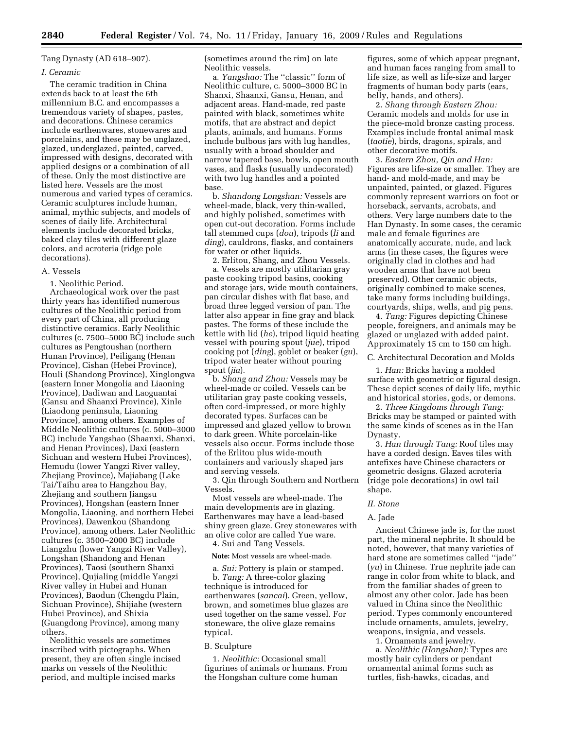# Tang Dynasty (AD 618–907).

# *I. Ceramic*

The ceramic tradition in China extends back to at least the 6th millennium B.C. and encompasses a tremendous variety of shapes, pastes, and decorations. Chinese ceramics include earthenwares, stonewares and porcelains, and these may be unglazed, glazed, underglazed, painted, carved, impressed with designs, decorated with applied designs or a combination of all of these. Only the most distinctive are listed here. Vessels are the most numerous and varied types of ceramics. Ceramic sculptures include human, animal, mythic subjects, and models of scenes of daily life. Architectural elements include decorated bricks, baked clay tiles with different glaze colors, and acroteria (ridge pole decorations).

### A. Vessels

1. Neolithic Period.

Archaeological work over the past thirty years has identified numerous cultures of the Neolithic period from every part of China, all producing distinctive ceramics. Early Neolithic cultures (c. 7500–5000 BC) include such cultures as Pengtoushan (northern Hunan Province), Peiligang (Henan Province), Cishan (Hebei Province), Houli (Shandong Province), Xinglongwa (eastern Inner Mongolia and Liaoning Province), Dadiwan and Laoguantai (Gansu and Shaanxi Province), Xinle (Liaodong peninsula, Liaoning Province), among others. Examples of Middle Neolithic cultures (c. 5000–3000 BC) include Yangshao (Shaanxi, Shanxi, and Henan Provinces), Daxi (eastern Sichuan and western Hubei Provinces), Hemudu (lower Yangzi River valley, Zhejiang Province), Majiabang (Lake Tai/Taihu area to Hangzhou Bay, Zhejiang and southern Jiangsu Provinces), Hongshan (eastern Inner Mongolia, Liaoning, and northern Hebei Provinces), Dawenkou (Shandong Province), among others. Later Neolithic cultures (c. 3500–2000 BC) include Liangzhu (lower Yangzi River Valley), Longshan (Shandong and Henan Provinces), Taosi (southern Shanxi Province), Qujialing (middle Yangzi River valley in Hubei and Hunan Provinces), Baodun (Chengdu Plain, Sichuan Province), Shijiahe (western Hubei Province), and Shixia (Guangdong Province), among many others.

Neolithic vessels are sometimes inscribed with pictographs. When present, they are often single incised marks on vessels of the Neolithic period, and multiple incised marks

(sometimes around the rim) on late Neolithic vessels.

a. *Yangshao:* The ''classic'' form of Neolithic culture, c. 5000–3000 BC in Shanxi, Shaanxi, Gansu, Henan, and adjacent areas. Hand-made, red paste painted with black, sometimes white motifs, that are abstract and depict plants, animals, and humans. Forms include bulbous jars with lug handles, usually with a broad shoulder and narrow tapered base, bowls, open mouth vases, and flasks (usually undecorated) with two lug handles and a pointed base.

b. *Shandong Longshan:* Vessels are wheel-made, black, very thin-walled, and highly polished, sometimes with open cut-out decoration. Forms include tall stemmed cups (*dou*), tripods (*li* and *ding*), cauldrons, flasks, and containers for water or other liquids.

2. Erlitou, Shang, and Zhou Vessels.

a. Vessels are mostly utilitarian gray paste cooking tripod basins, cooking and storage jars, wide mouth containers, pan circular dishes with flat base, and broad three legged version of pan. The latter also appear in fine gray and black pastes. The forms of these include the kettle with lid (*he*), tripod liquid heating vessel with pouring spout (*jue*), tripod cooking pot (*ding*), goblet or beaker (*gu*), tripod water heater without pouring spout (*jia*).

b. *Shang and Zhou:* Vessels may be wheel-made or coiled. Vessels can be utilitarian gray paste cooking vessels, often cord-impressed, or more highly decorated types. Surfaces can be impressed and glazed yellow to brown to dark green. White porcelain-like vessels also occur. Forms include those of the Erlitou plus wide-mouth containers and variously shaped jars and serving vessels.

3. Qin through Southern and Northern Vessels.

Most vessels are wheel-made. The main developments are in glazing. Earthenwares may have a lead-based shiny green glaze. Grey stonewares with an olive color are called Yue ware.

4. Sui and Tang Vessels.

**Note:** Most vessels are wheel-made.

a. *Sui:* Pottery is plain or stamped.

b. *Tang:* A three-color glazing technique is introduced for earthenwares (*sancai*). Green, yellow, brown, and sometimes blue glazes are used together on the same vessel. For stoneware, the olive glaze remains typical.

B. Sculpture

1. *Neolithic:* Occasional small figurines of animals or humans. From the Hongshan culture come human

figures, some of which appear pregnant, and human faces ranging from small to life size, as well as life-size and larger fragments of human body parts (ears, belly, hands, and others).

2. *Shang through Eastern Zhou:*  Ceramic models and molds for use in the piece-mold bronze casting process. Examples include frontal animal mask (*taotie*), birds, dragons, spirals, and other decorative motifs.

3. *Eastern Zhou, Qin and Han:*  Figures are life-size or smaller. They are hand- and mold-made, and may be unpainted, painted, or glazed. Figures commonly represent warriors on foot or horseback, servants, acrobats, and others. Very large numbers date to the Han Dynasty. In some cases, the ceramic male and female figurines are anatomically accurate, nude, and lack arms (in these cases, the figures were originally clad in clothes and had wooden arms that have not been preserved). Other ceramic objects, originally combined to make scenes, take many forms including buildings, courtyards, ships, wells, and pig pens.

4. *Tang:* Figures depicting Chinese people, foreigners, and animals may be glazed or unglazed with added paint. Approximately 15 cm to 150 cm high.

C. Architectural Decoration and Molds

1. *Han:* Bricks having a molded surface with geometric or figural design. These depict scenes of daily life, mythic and historical stories, gods, or demons.

2. *Three Kingdoms through Tang:*  Bricks may be stamped or painted with the same kinds of scenes as in the Han Dynasty.

3. *Han through Tang:* Roof tiles may have a corded design. Eaves tiles with antefixes have Chinese characters or geometric designs. Glazed acroteria (ridge pole decorations) in owl tail shape.

### *II. Stone*

# A. Jade

Ancient Chinese jade is, for the most part, the mineral nephrite. It should be noted, however, that many varieties of hard stone are sometimes called ''jade'' (*yu*) in Chinese. True nephrite jade can range in color from white to black, and from the familiar shades of green to almost any other color. Jade has been valued in China since the Neolithic period. Types commonly encountered include ornaments, amulets, jewelry, weapons, insignia, and vessels.

1. Ornaments and jewelry.

a. *Neolithic (Hongshan):* Types are mostly hair cylinders or pendant ornamental animal forms such as turtles, fish-hawks, cicadas, and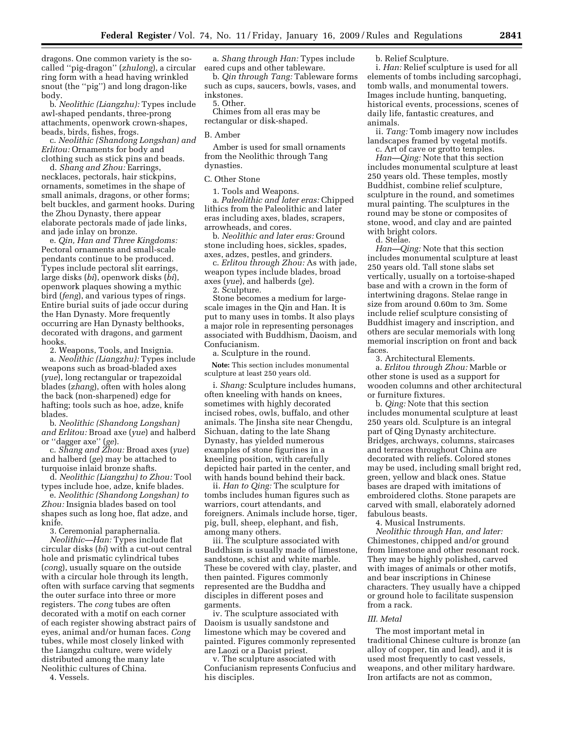dragons. One common variety is the socalled ''pig-dragon'' (*zhulong*), a circular ring form with a head having wrinkled snout (the ''pig'') and long dragon-like body.

b. *Neolithic (Liangzhu):* Types include awl-shaped pendants, three-prong attachments, openwork crown-shapes, beads, birds, fishes, frogs.

c. *Neolithic (Shandong Longshan) and Erlitou:* Ornaments for body and clothing such as stick pins and beads.

d. *Shang and Zhou:* Earrings, necklaces, pectorals, hair stickpins, ornaments, sometimes in the shape of small animals, dragons, or other forms; belt buckles, and garment hooks. During the Zhou Dynasty, there appear elaborate pectorals made of jade links, and jade inlay on bronze.

e. *Qin, Han and Three Kingdoms:*  Pectoral ornaments and small-scale pendants continue to be produced. Types include pectoral slit earrings, large disks (*bi*), openwork disks (*bi*), openwork plaques showing a mythic bird (*feng*), and various types of rings. Entire burial suits of jade occur during the Han Dynasty. More frequently occurring are Han Dynasty belthooks, decorated with dragons, and garment hooks.

2. Weapons, Tools, and Insignia. a. *Neolithic (Liangzhu):* Types include weapons such as broad-bladed axes (*yue*), long rectangular or trapezoidal blades (*zhang*), often with holes along the back (non-sharpened) edge for hafting; tools such as hoe, adze, knife blades.

b. *Neolithic (Shandong Longshan) and Erlitou:* Broad axe (*yue*) and halberd or ''dagger axe'' (*ge*).

c. *Shang and Zhou:* Broad axes (*yue*) and halberd (*ge*) may be attached to turquoise inlaid bronze shafts.

d. *Neolithic (Liangzhu) to Zhou:* Tool types include hoe, adze, knife blades.

e. *Neolithic (Shandong Longshan) to Zhou:* Insignia blades based on tool shapes such as long hoe, flat adze, and knife.

3. Ceremonial paraphernalia. *Neolithic—Han:* Types include flat circular disks (*bi*) with a cut-out central hole and prismatic cylindrical tubes (*cong*), usually square on the outside with a circular hole through its length, often with surface carving that segments the outer surface into three or more registers. The *cong* tubes are often decorated with a motif on each corner of each register showing abstract pairs of eyes, animal and/or human faces. *Cong*  tubes, while most closely linked with the Liangzhu culture, were widely distributed among the many late Neolithic cultures of China.

4. Vessels.

a. *Shang through Han:* Types include eared cups and other tableware.

b. *Qin through Tang:* Tableware forms such as cups, saucers, bowls, vases, and inkstones.

5. Other.

Chimes from all eras may be rectangular or disk-shaped.

### B. Amber

Amber is used for small ornaments from the Neolithic through Tang dynasties.

C. Other Stone

1. Tools and Weapons.

a. *Paleolithic and later eras:* Chipped lithics from the Paleolithic and later eras including axes, blades, scrapers, arrowheads, and cores.

b. *Neolithic and later eras:* Ground stone including hoes, sickles, spades, axes, adzes, pestles, and grinders.

c. *Erlitou through Zhou:* As with jade, weapon types include blades, broad axes (*yue*), and halberds (*ge*).

2. Sculpture.

Stone becomes a medium for largescale images in the Qin and Han. It is put to many uses in tombs. It also plays a major role in representing personages associated with Buddhism, Daoism, and Confucianism.

a. Sculpture in the round.

**Note:** This section includes monumental sculpture at least 250 years old.

i. *Shang:* Sculpture includes humans, often kneeling with hands on knees, sometimes with highly decorated incised robes, owls, buffalo, and other animals. The Jinsha site near Chengdu, Sichuan, dating to the late Shang Dynasty, has yielded numerous examples of stone figurines in a kneeling position, with carefully depicted hair parted in the center, and with hands bound behind their back.

ii. *Han to Qing:* The sculpture for tombs includes human figures such as warriors, court attendants, and foreigners. Animals include horse, tiger, pig, bull, sheep, elephant, and fish, among many others.

iii. The sculpture associated with Buddhism is usually made of limestone, sandstone, schist and white marble. These be covered with clay, plaster, and then painted. Figures commonly represented are the Buddha and disciples in different poses and garments.

iv. The sculpture associated with Daoism is usually sandstone and limestone which may be covered and painted. Figures commonly represented are Laozi or a Daoist priest.

v. The sculpture associated with Confucianism represents Confucius and his disciples.

b. Relief Sculpture.

i. *Han:* Relief sculpture is used for all elements of tombs including sarcophagi, tomb walls, and monumental towers. Images include hunting, banqueting, historical events, processions, scenes of daily life, fantastic creatures, and animals.

ii. *Tang:* Tomb imagery now includes landscapes framed by vegetal motifs.

c. Art of cave or grotto temples. *Han—Qing:* Note that this section includes monumental sculpture at least 250 years old. These temples, mostly Buddhist, combine relief sculpture, sculpture in the round, and sometimes mural painting. The sculptures in the round may be stone or composites of stone, wood, and clay and are painted with bright colors.

d. Stelae.

*Han—Qing:* Note that this section includes monumental sculpture at least 250 years old. Tall stone slabs set vertically, usually on a tortoise-shaped base and with a crown in the form of intertwining dragons. Stelae range in size from around 0.60m to 3m. Some include relief sculpture consisting of Buddhist imagery and inscription, and others are secular memorials with long memorial inscription on front and back faces.

3. Architectural Elements.

a. *Erlitou through Zhou:* Marble or other stone is used as a support for wooden columns and other architectural or furniture fixtures.

b. *Qing:* Note that this section includes monumental sculpture at least 250 years old. Sculpture is an integral part of Qing Dynasty architecture. Bridges, archways, columns, staircases and terraces throughout China are decorated with reliefs. Colored stones may be used, including small bright red, green, yellow and black ones. Statue bases are draped with imitations of embroidered cloths. Stone parapets are carved with small, elaborately adorned fabulous beasts.

4. Musical Instruments. *Neolithic through Han, and later:*  Chimestones, chipped and/or ground from limestone and other resonant rock. They may be highly polished, carved with images of animals or other motifs, and bear inscriptions in Chinese characters. They usually have a chipped or ground hole to facilitate suspension from a rack.

#### *III. Metal*

The most important metal in traditional Chinese culture is bronze (an alloy of copper, tin and lead), and it is used most frequently to cast vessels, weapons, and other military hardware. Iron artifacts are not as common,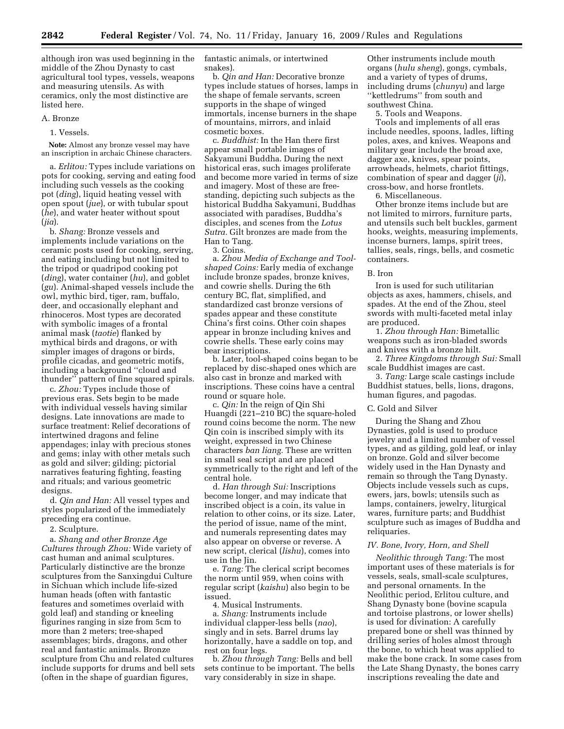although iron was used beginning in the middle of the Zhou Dynasty to cast agricultural tool types, vessels, weapons and measuring utensils. As with ceramics, only the most distinctive are listed here.

### A. Bronze

### 1. Vessels.

**Note:** Almost any bronze vessel may have an inscription in archaic Chinese characters.

a. *Erlitou:* Types include variations on pots for cooking, serving and eating food including such vessels as the cooking pot (*ding*), liquid heating vessel with open spout (*jue*), or with tubular spout (*he*), and water heater without spout (*jia*).

b. *Shang:* Bronze vessels and implements include variations on the ceramic posts used for cooking, serving, and eating including but not limited to the tripod or quadripod cooking pot (*ding*), water container (*hu*), and goblet (*gu*). Animal-shaped vessels include the owl, mythic bird, tiger, ram, buffalo, deer, and occasionally elephant and rhinoceros. Most types are decorated with symbolic images of a frontal animal mask (*taotie*) flanked by mythical birds and dragons, or with simpler images of dragons or birds, profile cicadas, and geometric motifs, including a background ''cloud and thunder'' pattern of fine squared spirals.

c. *Zhou:* Types include those of previous eras. Sets begin to be made with individual vessels having similar designs. Late innovations are made to surface treatment: Relief decorations of intertwined dragons and feline appendages; inlay with precious stones and gems; inlay with other metals such as gold and silver; gilding; pictorial narratives featuring fighting, feasting and rituals; and various geometric designs.

d. *Qin and Han:* All vessel types and styles popularized of the immediately preceding era continue.

2. Sculpture.

a. *Shang and other Bronze Age Cultures through Zhou:* Wide variety of cast human and animal sculptures. Particularly distinctive are the bronze sculptures from the Sanxingdui Culture in Sichuan which include life-sized human heads (often with fantastic features and sometimes overlaid with gold leaf) and standing or kneeling figurines ranging in size from 5cm to more than 2 meters; tree-shaped assemblages; birds, dragons, and other real and fantastic animals. Bronze sculpture from Chu and related cultures include supports for drums and bell sets (often in the shape of guardian figures,

fantastic animals, or intertwined snakes).

b. *Qin and Han:* Decorative bronze types include statues of horses, lamps in the shape of female servants, screen supports in the shape of winged immortals, incense burners in the shape of mountains, mirrors, and inlaid cosmetic boxes.

c. *Buddhist:* In the Han there first appear small portable images of Sakyamuni Buddha. During the next historical eras, such images proliferate and become more varied in terms of size and imagery. Most of these are freestanding, depicting such subjects as the historical Buddha Sakyamuni, Buddhas associated with paradises, Buddha's disciples, and scenes from the *Lotus Sutra.* Gilt bronzes are made from the Han to Tang.

#### 3. Coins.

a. *Zhou Media of Exchange and Toolshaped Coins:* Early media of exchange include bronze spades, bronze knives, and cowrie shells. During the 6th century BC, flat, simplified, and standardized cast bronze versions of spades appear and these constitute China's first coins. Other coin shapes appear in bronze including knives and cowrie shells. These early coins may bear inscriptions.

b. Later, tool-shaped coins began to be replaced by disc-shaped ones which are also cast in bronze and marked with inscriptions. These coins have a central round or square hole.

c. *Qin:* In the reign of Qin Shi Huangdi (221–210 BC) the square-holed round coins become the norm. The new Qin coin is inscribed simply with its weight, expressed in two Chinese characters *ban liang.* These are written in small seal script and are placed symmetrically to the right and left of the central hole.

d. *Han through Sui:* Inscriptions become longer, and may indicate that inscribed object is a coin, its value in relation to other coins, or its size. Later, the period of issue, name of the mint, and numerals representing dates may also appear on obverse or reverse. A new script, clerical (*lishu*), comes into use in the Jin.

e. *Tang:* The clerical script becomes the norm until 959, when coins with regular script (*kaishu*) also begin to be issued.

4. Musical Instruments.

a. *Shang:* Instruments include individual clapper-less bells (*nao*), singly and in sets. Barrel drums lay horizontally, have a saddle on top, and rest on four legs.

b. *Zhou through Tang:* Bells and bell sets continue to be important. The bells vary considerably in size in shape.

Other instruments include mouth organs (*hulu sheng*), gongs, cymbals, and a variety of types of drums, including drums (*chunyu*) and large ''kettledrums'' from south and southwest China.

5. Tools and Weapons.

Tools and implements of all eras include needles, spoons, ladles, lifting poles, axes, and knives. Weapons and military gear include the broad axe, dagger axe, knives, spear points, arrowheads, helmets, chariot fittings, combination of spear and dagger (*ji*), cross-bow, and horse frontlets.

6. Miscellaneous.

Other bronze items include but are not limited to mirrors, furniture parts, and utensils such belt buckles, garment hooks, weights, measuring implements, incense burners, lamps, spirit trees, tallies, seals, rings, bells, and cosmetic containers.

#### B. Iron

Iron is used for such utilitarian objects as axes, hammers, chisels, and spades. At the end of the Zhou, steel swords with multi-faceted metal inlay are produced.

1. *Zhou through Han:* Bimetallic weapons such as iron-bladed swords and knives with a bronze hilt.

2. *Three Kingdoms through Sui:* Small scale Buddhist images are cast.

3. *Tang:* Large scale castings include Buddhist statues, bells, lions, dragons, human figures, and pagodas.

## C. Gold and Silver

During the Shang and Zhou Dynasties, gold is used to produce jewelry and a limited number of vessel types, and as gilding, gold leaf, or inlay on bronze. Gold and silver become widely used in the Han Dynasty and remain so through the Tang Dynasty. Objects include vessels such as cups, ewers, jars, bowls; utensils such as lamps, containers, jewelry, liturgical wares, furniture parts; and Buddhist sculpture such as images of Buddha and reliquaries.

# *IV. Bone, Ivory, Horn, and Shell*

*Neolithic through Tang:* The most important uses of these materials is for vessels, seals, small-scale sculptures, and personal ornaments. In the Neolithic period, Erlitou culture, and Shang Dynasty bone (bovine scapula and tortoise plastrons, or lower shells) is used for divination: A carefully prepared bone or shell was thinned by drilling series of holes almost through the bone, to which heat was applied to make the bone crack. In some cases from the Late Shang Dynasty, the bones carry inscriptions revealing the date and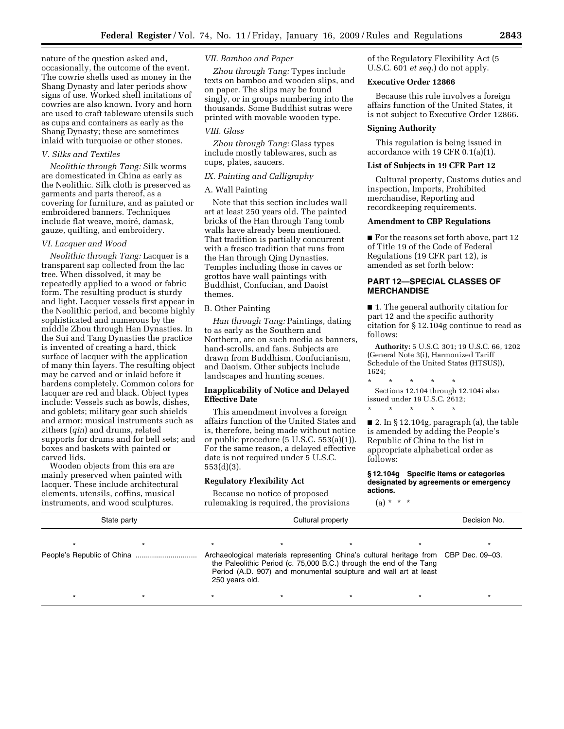nature of the question asked and, occasionally, the outcome of the event. The cowrie shells used as money in the Shang Dynasty and later periods show signs of use. Worked shell imitations of cowries are also known. Ivory and horn are used to craft tableware utensils such as cups and containers as early as the Shang Dynasty; these are sometimes inlaid with turquoise or other stones.

# *V. Silks and Textiles*

*Neolithic through Tang:* Silk worms are domesticated in China as early as the Neolithic. Silk cloth is preserved as garments and parts thereof, as a covering for furniture, and as painted or embroidered banners. Techniques include flat weave, moiré, damask, gauze, quilting, and embroidery.

### *VI. Lacquer and Wood*

*Neolithic through Tang:* Lacquer is a transparent sap collected from the lac tree. When dissolved, it may be repeatedly applied to a wood or fabric form. The resulting product is sturdy and light. Lacquer vessels first appear in the Neolithic period, and become highly sophisticated and numerous by the middle Zhou through Han Dynasties. In the Sui and Tang Dynasties the practice is invented of creating a hard, thick surface of lacquer with the application of many thin layers. The resulting object may be carved and or inlaid before it hardens completely. Common colors for lacquer are red and black. Object types include: Vessels such as bowls, dishes, and goblets; military gear such shields and armor; musical instruments such as zithers (*qin*) and drums, related supports for drums and for bell sets; and boxes and baskets with painted or carved lids.

Wooden objects from this era are mainly preserved when painted with lacquer. These include architectural elements, utensils, coffins, musical instruments, and wood sculptures.

# *VII. Bamboo and Paper*

*Zhou through Tang:* Types include texts on bamboo and wooden slips, and on paper. The slips may be found singly, or in groups numbering into the thousands. Some Buddhist sutras were printed with movable wooden type.

# *VIII. Glass*

*Zhou through Tang:* Glass types include mostly tablewares, such as cups, plates, saucers.

## *IX. Painting and Calligraphy*

# A. Wall Painting

Note that this section includes wall art at least 250 years old. The painted bricks of the Han through Tang tomb walls have already been mentioned. That tradition is partially concurrent with a fresco tradition that runs from the Han through Qing Dynasties. Temples including those in caves or grottos have wall paintings with Buddhist, Confucian, and Daoist themes.

# B. Other Painting

*Han through Tang:* Paintings, dating to as early as the Southern and Northern, are on such media as banners, hand-scrolls, and fans. Subjects are drawn from Buddhism, Confucianism, and Daoism. Other subjects include landscapes and hunting scenes.

# **Inapplicability of Notice and Delayed Effective Date**

This amendment involves a foreign affairs function of the United States and is, therefore, being made without notice or public procedure (5 U.S.C. 553(a)(1)). For the same reason, a delayed effective date is not required under 5 U.S.C. 553(d)(3).

# **Regulatory Flexibility Act**

Because no notice of proposed rulemaking is required, the provisions

# of the Regulatory Flexibility Act (5 U.S.C. 601 *et seq.*) do not apply.

## **Executive Order 12866**

Because this rule involves a foreign affairs function of the United States, it is not subject to Executive Order 12866.

### **Signing Authority**

This regulation is being issued in accordance with 19 CFR 0.1(a)(1).

# **List of Subjects in 19 CFR Part 12**

Cultural property, Customs duties and inspection, Imports, Prohibited merchandise, Reporting and recordkeeping requirements.

# **Amendment to CBP Regulations**

■ For the reasons set forth above, part 12 of Title 19 of the Code of Federal Regulations (19 CFR part 12), is amended as set forth below:

# **PART 12—SPECIAL CLASSES OF MERCHANDISE**

■ 1. The general authority citation for part 12 and the specific authority citation for § 12.104g continue to read as follows:

**Authority:** 5 U.S.C. 301; 19 U.S.C. 66, 1202 (General Note 3(i), Harmonized Tariff Schedule of the United States (HTSUS)), 1624;

\* \* \* \* \* Sections 12.104 through 12.104i also issued under 19 U.S.C. 2612;

\* \* \* \* \*

■ 2. In § 12.104g, paragraph (a), the table is amended by adding the People's Republic of China to the list in appropriate alphabetical order as follows:

**§ 12.104g Specific items or categories designated by agreements or emergency actions.** 

 $(a) * * * *$ 

| State party                | Cultural property |  |                                                                                                                                                                                                                                 |  | Decision No. |  |
|----------------------------|-------------------|--|---------------------------------------------------------------------------------------------------------------------------------------------------------------------------------------------------------------------------------|--|--------------|--|
| People's Republic of China | 250 years old.    |  | Archaeological materials representing China's cultural heritage from CBP Dec. 09–03.<br>the Paleolithic Period (c. 75,000 B.C.) through the end of the Tang<br>Period (A.D. 907) and monumental sculpture and wall art at least |  |              |  |
|                            |                   |  |                                                                                                                                                                                                                                 |  |              |  |